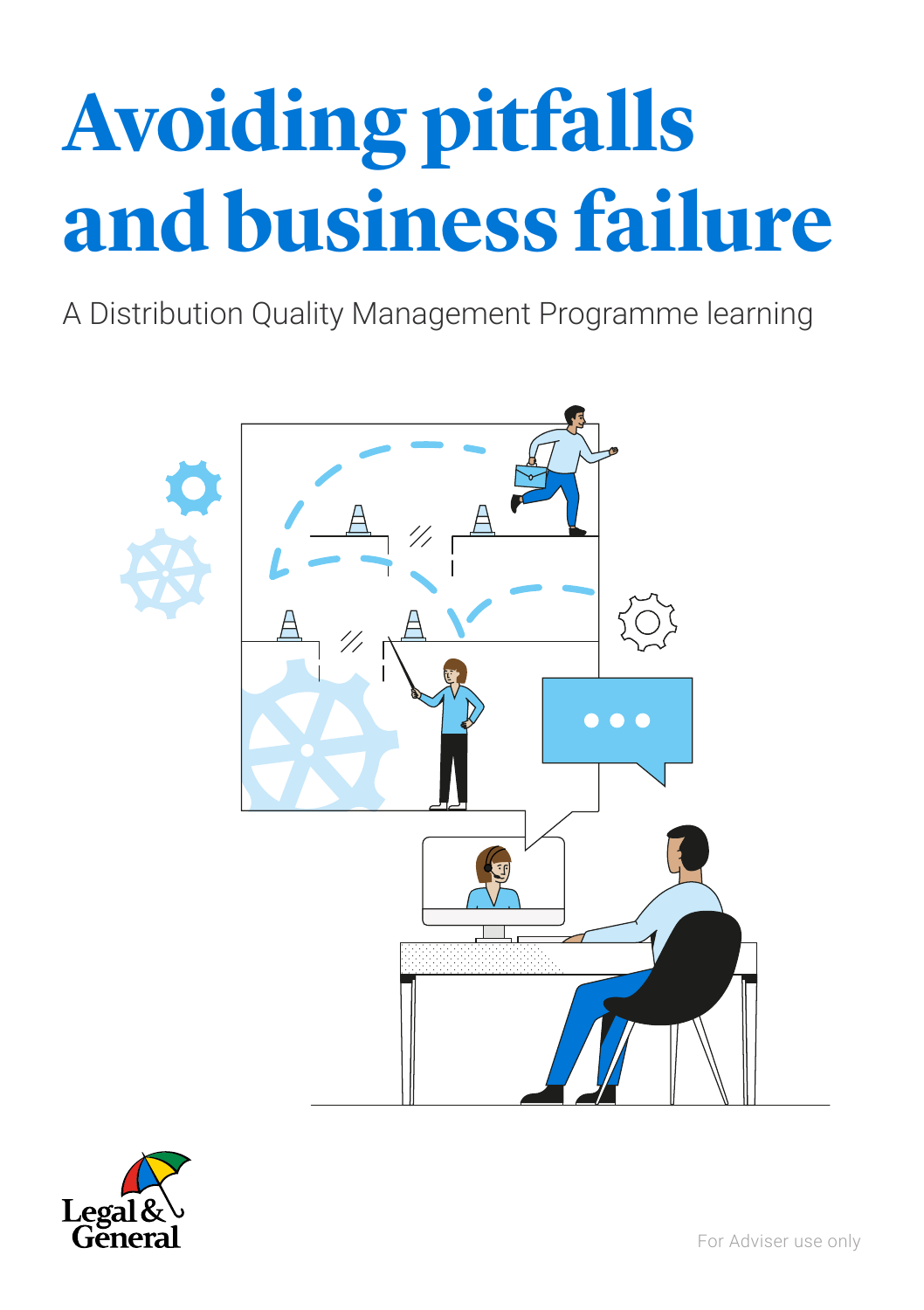# **Avoiding pitfalls and business failure**

A Distribution Quality Management Programme learning



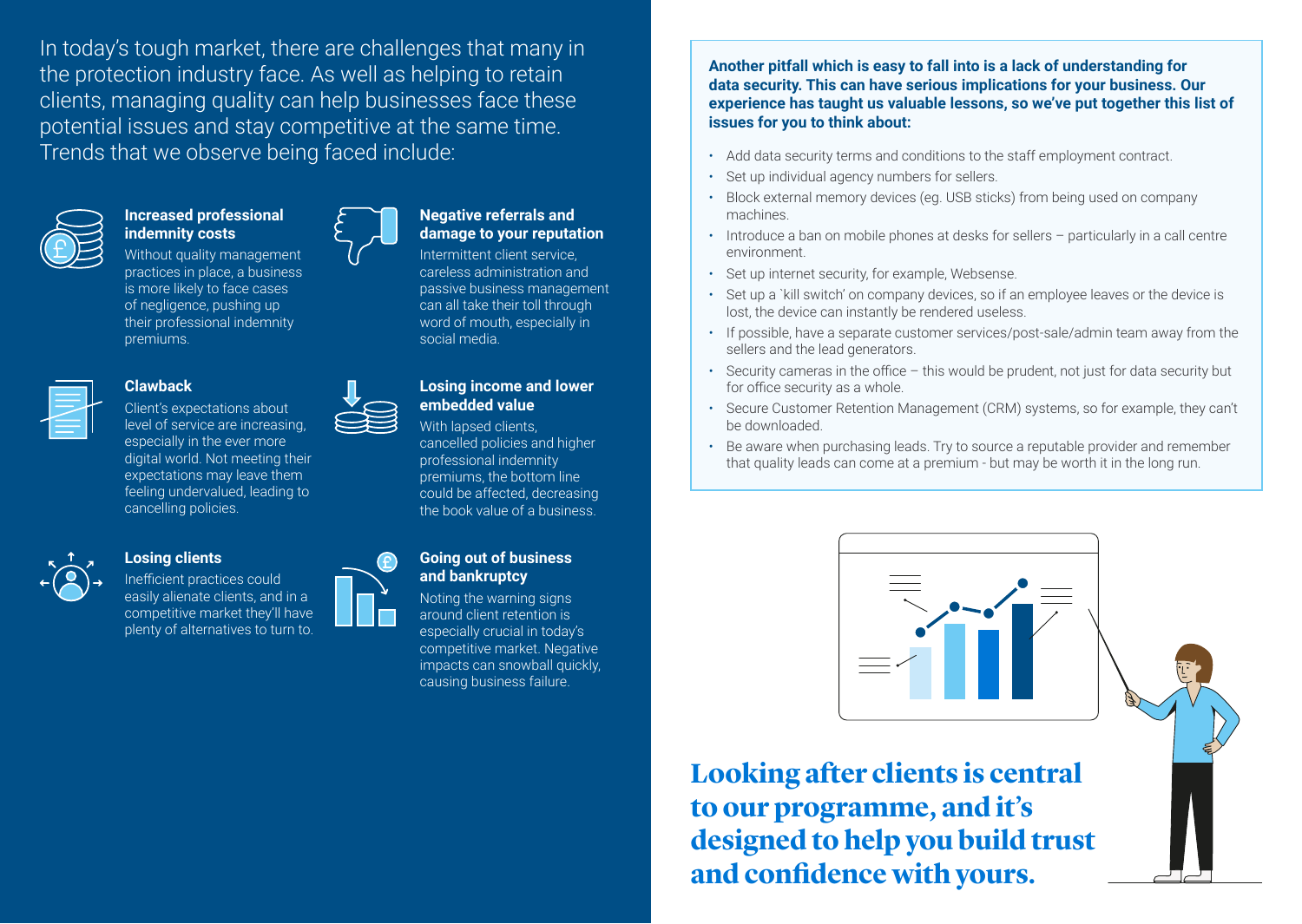In today's tough market, there are challenges that many in the protection industry face. As well as helping to retain clients, managing quality can help businesses face these potential issues and stay competitive at the same time. Trends that we observe being faced include:



## **Increased professional indemnity costs**

Without quality management practices in place, a business is more likely to face cases of negligence, pushing up their professional indemnity premiums.



## **Clawback**

Client's expectations about level of service are increasing, especially in the ever more digital world. Not meeting their expectations may leave them feeling undervalued, leading to cancelling policies.



### **Losing clients**

Inefficient practices could easily alienate clients, and in a competitive market they'll have plenty of alternatives to turn to.

# **Negative referrals and damage to your reputation**

Intermittent client service, careless administration and passive business management can all take their toll through word of mouth, especially in social media.

#### **Losing income and lower embedded value**

With lapsed clients. cancelled policies and higher professional indemnity premiums, the bottom line could be affected, decreasing the book value of a business.

#### **Going out of business and bankruptcy**

Noting the warning signs around client retention is especially crucial in today's competitive market. Negative impacts can snowball quickly, causing business failure.

**Another pitfall which is easy to fall into is a lack of understanding for data security. This can have serious implications for your business. Our experience has taught us valuable lessons, so we've put together this list of issues for you to think about:** 

- Add data security terms and conditions to the staff employment contract.
- Set up individual agency numbers for sellers.
- Block external memory devices (eg. USB sticks) from being used on company machines.
- Introduce a ban on mobile phones at desks for sellers particularly in a call centre environment.
- Set up internet security, for example, Websense.
- Set up a `kill switch' on company devices, so if an employee leaves or the device is lost, the device can instantly be rendered useless.
- If possible, have a separate customer services/post-sale/admin team away from the sellers and the lead generators.
- Security cameras in the office this would be prudent, not just for data security but for office security as a whole.
- Secure Customer Retention Management (CRM) systems, so for example, they can't be downloaded.
- Be aware when purchasing leads. Try to source a reputable provider and remember that quality leads can come at a premium - but may be worth it in the long run.



**Looking after clients is central to our programme, and it's designed to help you build trust and confidence with yours.**